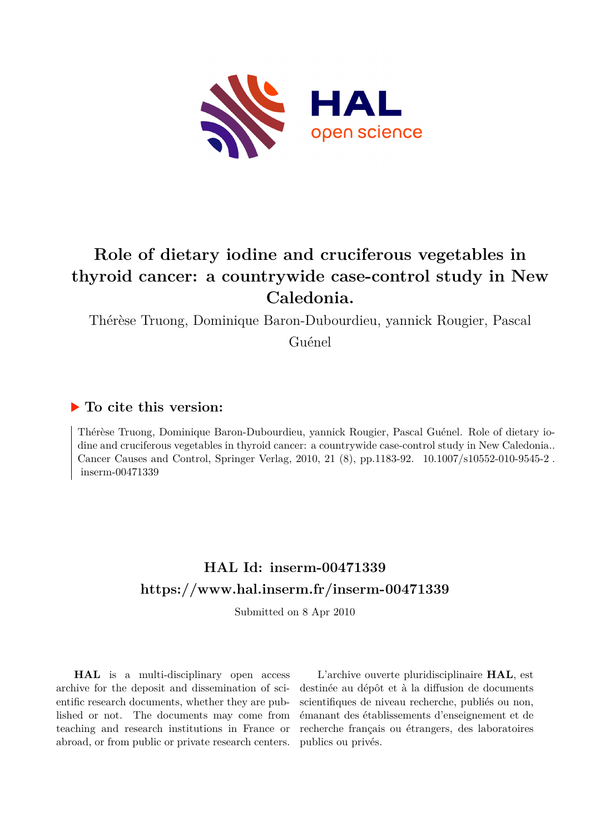

# **Role of dietary iodine and cruciferous vegetables in thyroid cancer: a countrywide case-control study in New Caledonia.**

Thérèse Truong, Dominique Baron-Dubourdieu, yannick Rougier, Pascal

Guénel

## **To cite this version:**

Thérèse Truong, Dominique Baron-Dubourdieu, yannick Rougier, Pascal Guénel. Role of dietary iodine and cruciferous vegetables in thyroid cancer: a countrywide case-control study in New Caledonia.. Cancer Causes and Control, Springer Verlag, 2010, 21 (8), pp.1183-92. 10.1007/s10552-010-9545-2.  $inserm-00471339$ 

## **HAL Id: inserm-00471339 <https://www.hal.inserm.fr/inserm-00471339>**

Submitted on 8 Apr 2010

**HAL** is a multi-disciplinary open access archive for the deposit and dissemination of scientific research documents, whether they are published or not. The documents may come from teaching and research institutions in France or abroad, or from public or private research centers.

L'archive ouverte pluridisciplinaire **HAL**, est destinée au dépôt et à la diffusion de documents scientifiques de niveau recherche, publiés ou non, émanant des établissements d'enseignement et de recherche français ou étrangers, des laboratoires publics ou privés.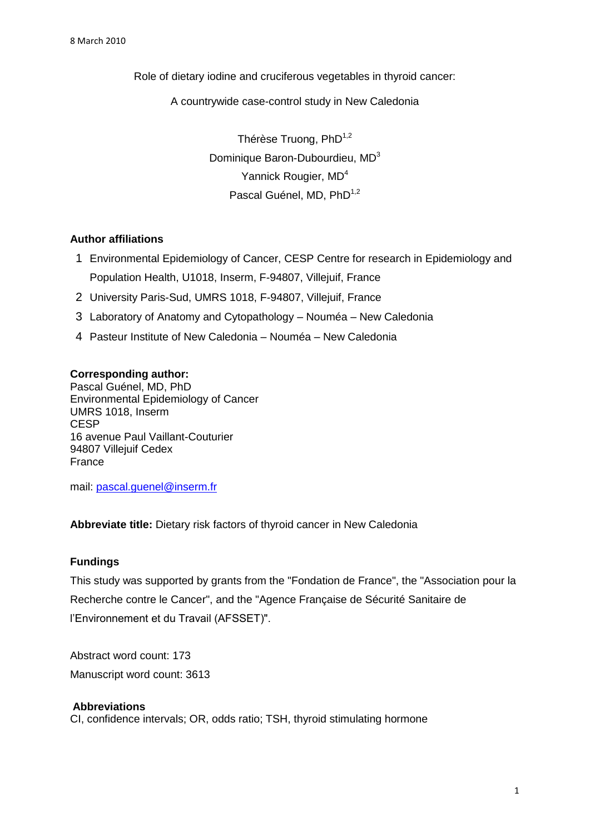Role of dietary iodine and cruciferous vegetables in thyroid cancer:

A countrywide case-control study in New Caledonia

Thérèse Truong, PhD<sup>1,2</sup> Dominique Baron-Dubourdieu, MD<sup>3</sup> Yannick Rougier, MD<sup>4</sup> Pascal Guénel, MD, PhD<sup>1,2</sup>

## **Author affiliations**

- 1 Environmental Epidemiology of Cancer, CESP Centre for research in Epidemiology and Population Health, U1018, Inserm, F-94807, Villejuif, France
- 2 University Paris-Sud, UMRS 1018, F-94807, Villejuif, France
- 3 Laboratory of Anatomy and Cytopathology Nouméa New Caledonia
- 4 Pasteur Institute of New Caledonia Nouméa New Caledonia

## **Corresponding author:**

Pascal Guénel, MD, PhD Environmental Epidemiology of Cancer UMRS 1018, Inserm **CESP** 16 avenue Paul Vaillant-Couturier 94807 Villejuif Cedex France

mail: [pascal.guenel@inserm.fr](mailto:pascal.guenel@inserm.fr)

**Abbreviate title:** Dietary risk factors of thyroid cancer in New Caledonia

## **Fundings**

This study was supported by grants from the "Fondation de France", the "Association pour la Recherche contre le Cancer", and the "Agence Française de Sécurité Sanitaire de l'Environnement et du Travail (AFSSET)".

Abstract word count: 173 Manuscript word count: 3613

### **Abbreviations**

CI, confidence intervals; OR, odds ratio; TSH, thyroid stimulating hormone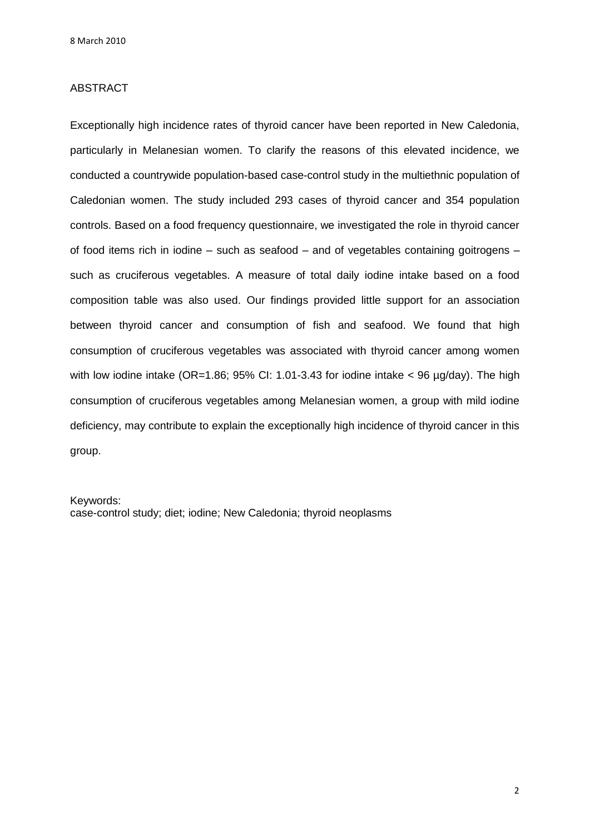### ABSTRACT

Exceptionally high incidence rates of thyroid cancer have been reported in New Caledonia, particularly in Melanesian women. To clarify the reasons of this elevated incidence, we conducted a countrywide population-based case-control study in the multiethnic population of Caledonian women. The study included 293 cases of thyroid cancer and 354 population controls. Based on a food frequency questionnaire, we investigated the role in thyroid cancer of food items rich in iodine – such as seafood – and of vegetables containing goitrogens – such as cruciferous vegetables. A measure of total daily iodine intake based on a food composition table was also used. Our findings provided little support for an association between thyroid cancer and consumption of fish and seafood. We found that high consumption of cruciferous vegetables was associated with thyroid cancer among women with low iodine intake ( $OR=1.86$ ; 95% CI: 1.01-3.43 for iodine intake < 96  $\mu$ g/day). The high consumption of cruciferous vegetables among Melanesian women, a group with mild iodine deficiency, may contribute to explain the exceptionally high incidence of thyroid cancer in this group.

#### Keywords:

case-control study; diet; iodine; New Caledonia; thyroid neoplasms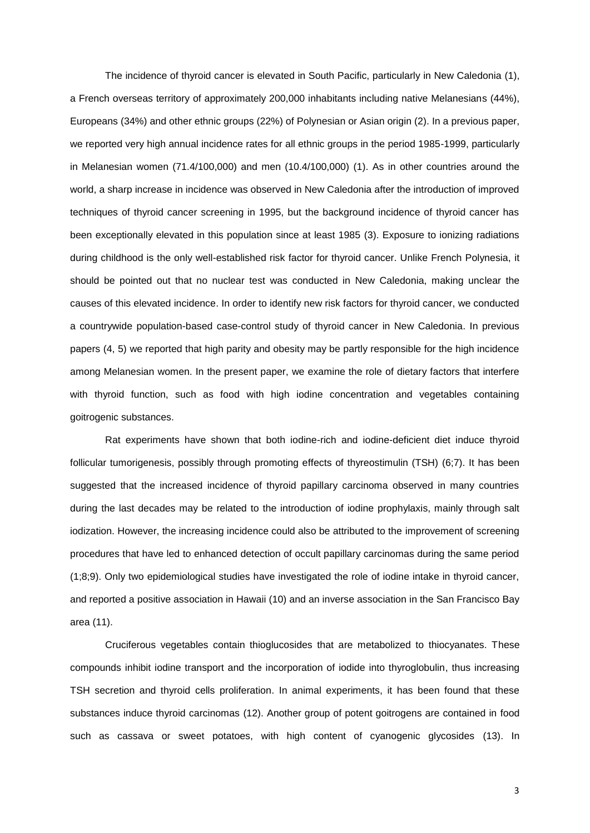The incidence of thyroid cancer is elevated in South Pacific, particularly in New Caledonia (1), a French overseas territory of approximately 200,000 inhabitants including native Melanesians (44%), Europeans (34%) and other ethnic groups (22%) of Polynesian or Asian origin (2). In a previous paper, we reported very high annual incidence rates for all ethnic groups in the period 1985-1999, particularly in Melanesian women (71.4/100,000) and men (10.4/100,000) (1). As in other countries around the world, a sharp increase in incidence was observed in New Caledonia after the introduction of improved techniques of thyroid cancer screening in 1995, but the background incidence of thyroid cancer has been exceptionally elevated in this population since at least 1985 (3). Exposure to ionizing radiations during childhood is the only well-established risk factor for thyroid cancer. Unlike French Polynesia, it should be pointed out that no nuclear test was conducted in New Caledonia, making unclear the causes of this elevated incidence. In order to identify new risk factors for thyroid cancer, we conducted a countrywide population-based case-control study of thyroid cancer in New Caledonia. In previous papers (4, 5) we reported that high parity and obesity may be partly responsible for the high incidence among Melanesian women. In the present paper, we examine the role of dietary factors that interfere with thyroid function, such as food with high iodine concentration and vegetables containing goitrogenic substances.

Rat experiments have shown that both iodine-rich and iodine-deficient diet induce thyroid follicular tumorigenesis, possibly through promoting effects of thyreostimulin (TSH) (6;7). It has been suggested that the increased incidence of thyroid papillary carcinoma observed in many countries during the last decades may be related to the introduction of iodine prophylaxis, mainly through salt iodization. However, the increasing incidence could also be attributed to the improvement of screening procedures that have led to enhanced detection of occult papillary carcinomas during the same period (1;8;9). Only two epidemiological studies have investigated the role of iodine intake in thyroid cancer, and reported a positive association in Hawaii (10) and an inverse association in the San Francisco Bay area (11).

Cruciferous vegetables contain thioglucosides that are metabolized to thiocyanates. These compounds inhibit iodine transport and the incorporation of iodide into thyroglobulin, thus increasing TSH secretion and thyroid cells proliferation. In animal experiments, it has been found that these substances induce thyroid carcinomas (12). Another group of potent goitrogens are contained in food such as cassava or sweet potatoes, with high content of cyanogenic glycosides (13). In

3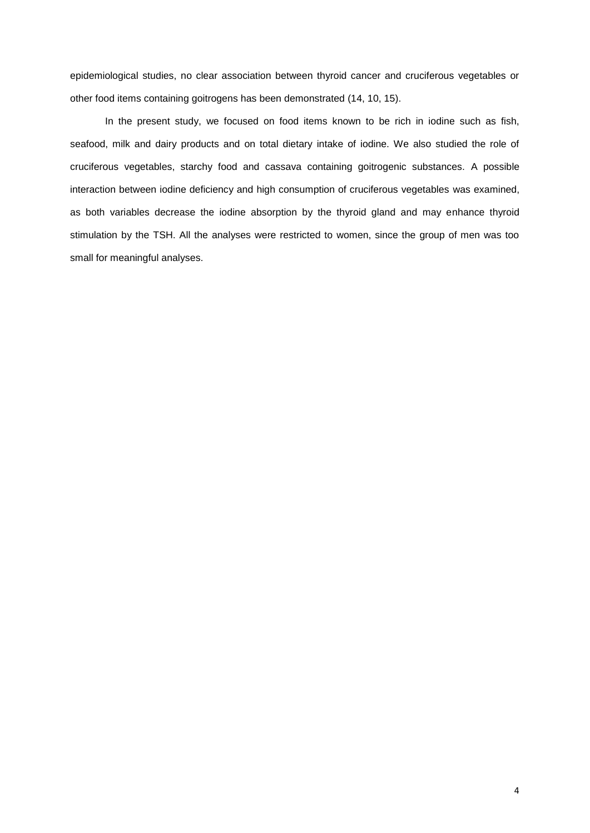epidemiological studies, no clear association between thyroid cancer and cruciferous vegetables or other food items containing goitrogens has been demonstrated (14, 10, 15).

In the present study, we focused on food items known to be rich in iodine such as fish, seafood, milk and dairy products and on total dietary intake of iodine. We also studied the role of cruciferous vegetables, starchy food and cassava containing goitrogenic substances. A possible interaction between iodine deficiency and high consumption of cruciferous vegetables was examined, as both variables decrease the iodine absorption by the thyroid gland and may enhance thyroid stimulation by the TSH. All the analyses were restricted to women, since the group of men was too small for meaningful analyses.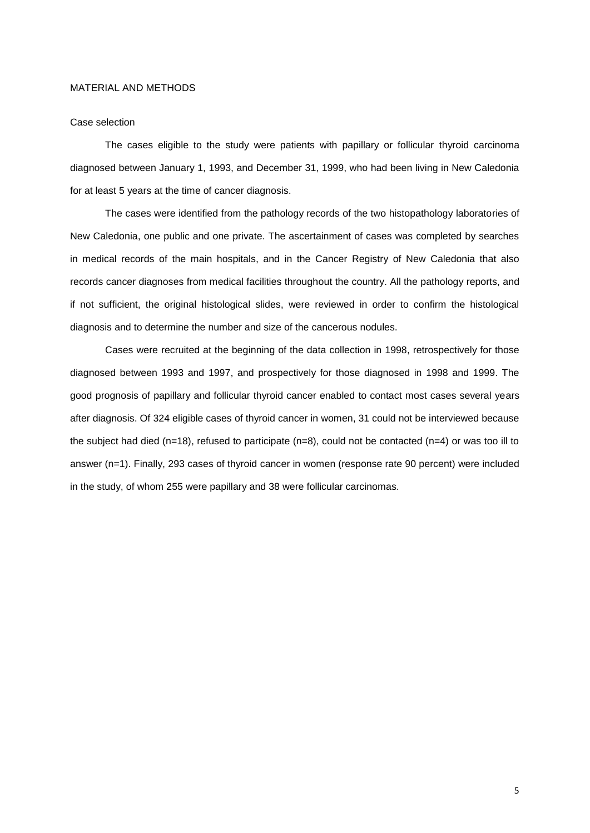#### MATERIAL AND METHODS

#### Case selection

The cases eligible to the study were patients with papillary or follicular thyroid carcinoma diagnosed between January 1, 1993, and December 31, 1999, who had been living in New Caledonia for at least 5 years at the time of cancer diagnosis.

The cases were identified from the pathology records of the two histopathology laboratories of New Caledonia, one public and one private. The ascertainment of cases was completed by searches in medical records of the main hospitals, and in the Cancer Registry of New Caledonia that also records cancer diagnoses from medical facilities throughout the country. All the pathology reports, and if not sufficient, the original histological slides, were reviewed in order to confirm the histological diagnosis and to determine the number and size of the cancerous nodules.

Cases were recruited at the beginning of the data collection in 1998, retrospectively for those diagnosed between 1993 and 1997, and prospectively for those diagnosed in 1998 and 1999. The good prognosis of papillary and follicular thyroid cancer enabled to contact most cases several years after diagnosis. Of 324 eligible cases of thyroid cancer in women, 31 could not be interviewed because the subject had died ( $n=18$ ), refused to participate ( $n=8$ ), could not be contacted ( $n=4$ ) or was too ill to answer (n=1). Finally, 293 cases of thyroid cancer in women (response rate 90 percent) were included in the study, of whom 255 were papillary and 38 were follicular carcinomas.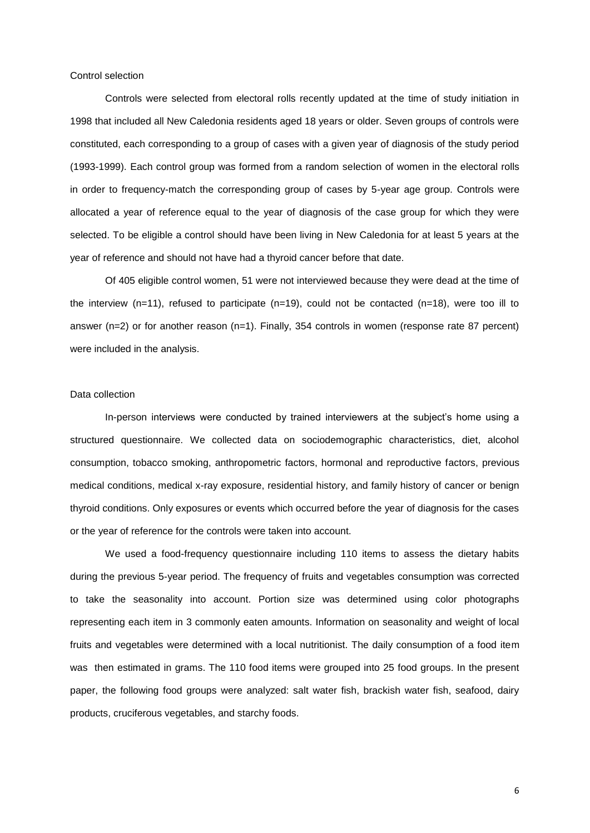#### Control selection

Controls were selected from electoral rolls recently updated at the time of study initiation in 1998 that included all New Caledonia residents aged 18 years or older. Seven groups of controls were constituted, each corresponding to a group of cases with a given year of diagnosis of the study period (1993-1999). Each control group was formed from a random selection of women in the electoral rolls in order to frequency-match the corresponding group of cases by 5-year age group. Controls were allocated a year of reference equal to the year of diagnosis of the case group for which they were selected. To be eligible a control should have been living in New Caledonia for at least 5 years at the year of reference and should not have had a thyroid cancer before that date.

Of 405 eligible control women, 51 were not interviewed because they were dead at the time of the interview (n=11), refused to participate (n=19), could not be contacted (n=18), were too ill to answer (n=2) or for another reason (n=1). Finally, 354 controls in women (response rate 87 percent) were included in the analysis.

#### Data collection

In-person interviews were conducted by trained interviewers at the subject's home using a structured questionnaire. We collected data on sociodemographic characteristics, diet, alcohol consumption, tobacco smoking, anthropometric factors, hormonal and reproductive factors, previous medical conditions, medical x-ray exposure, residential history, and family history of cancer or benign thyroid conditions. Only exposures or events which occurred before the year of diagnosis for the cases or the year of reference for the controls were taken into account.

We used a food-frequency questionnaire including 110 items to assess the dietary habits during the previous 5-year period. The frequency of fruits and vegetables consumption was corrected to take the seasonality into account. Portion size was determined using color photographs representing each item in 3 commonly eaten amounts. Information on seasonality and weight of local fruits and vegetables were determined with a local nutritionist. The daily consumption of a food item was then estimated in grams. The 110 food items were grouped into 25 food groups. In the present paper, the following food groups were analyzed: salt water fish, brackish water fish, seafood, dairy products, cruciferous vegetables, and starchy foods.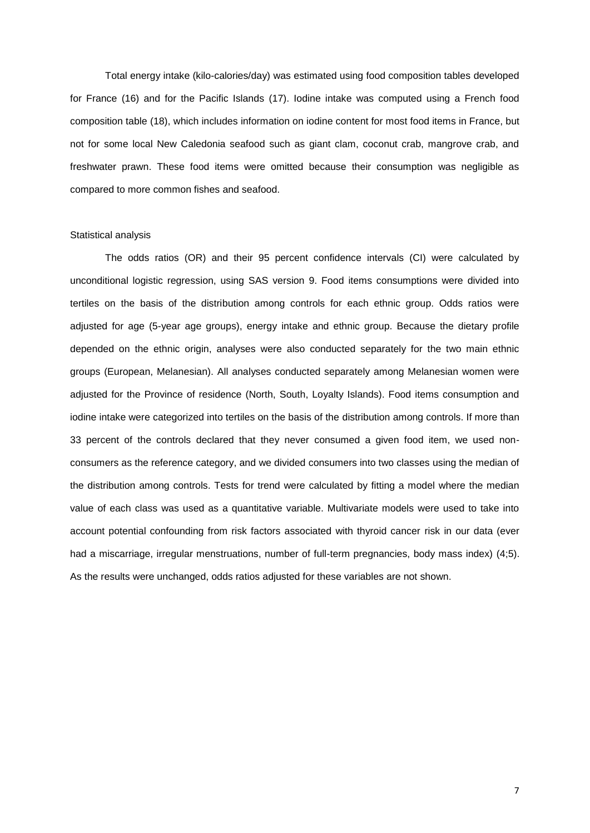Total energy intake (kilo-calories/day) was estimated using food composition tables developed for France (16) and for the Pacific Islands (17). Iodine intake was computed using a French food composition table (18), which includes information on iodine content for most food items in France, but not for some local New Caledonia seafood such as giant clam, coconut crab, mangrove crab, and freshwater prawn. These food items were omitted because their consumption was negligible as compared to more common fishes and seafood.

#### Statistical analysis

The odds ratios (OR) and their 95 percent confidence intervals (CI) were calculated by unconditional logistic regression, using SAS version 9. Food items consumptions were divided into tertiles on the basis of the distribution among controls for each ethnic group. Odds ratios were adjusted for age (5-year age groups), energy intake and ethnic group. Because the dietary profile depended on the ethnic origin, analyses were also conducted separately for the two main ethnic groups (European, Melanesian). All analyses conducted separately among Melanesian women were adjusted for the Province of residence (North, South, Loyalty Islands). Food items consumption and iodine intake were categorized into tertiles on the basis of the distribution among controls. If more than 33 percent of the controls declared that they never consumed a given food item, we used nonconsumers as the reference category, and we divided consumers into two classes using the median of the distribution among controls. Tests for trend were calculated by fitting a model where the median value of each class was used as a quantitative variable. Multivariate models were used to take into account potential confounding from risk factors associated with thyroid cancer risk in our data (ever had a miscarriage, irregular menstruations, number of full-term pregnancies, body mass index) (4;5). As the results were unchanged, odds ratios adjusted for these variables are not shown.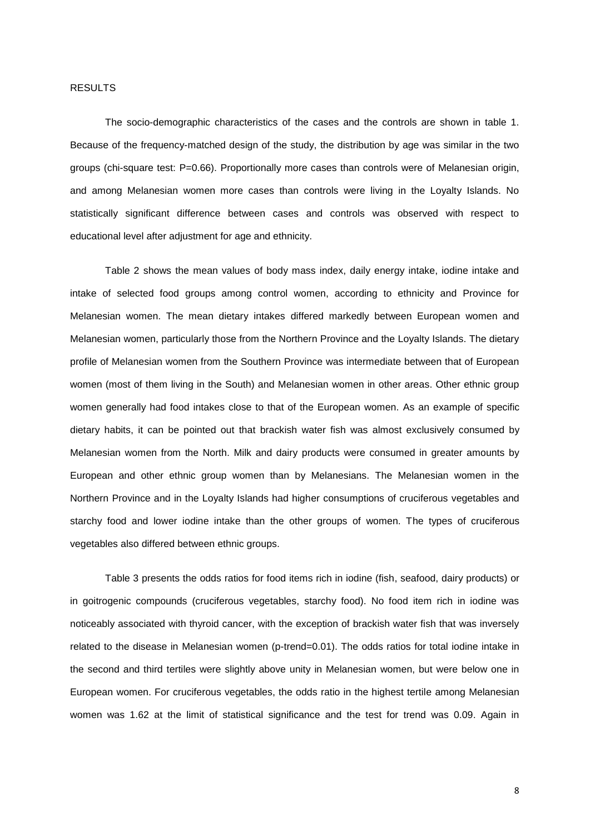#### **RESULTS**

The socio-demographic characteristics of the cases and the controls are shown in table 1. Because of the frequency-matched design of the study, the distribution by age was similar in the two groups (chi-square test: P=0.66). Proportionally more cases than controls were of Melanesian origin, and among Melanesian women more cases than controls were living in the Loyalty Islands. No statistically significant difference between cases and controls was observed with respect to educational level after adjustment for age and ethnicity.

Table 2 shows the mean values of body mass index, daily energy intake, iodine intake and intake of selected food groups among control women, according to ethnicity and Province for Melanesian women. The mean dietary intakes differed markedly between European women and Melanesian women, particularly those from the Northern Province and the Loyalty Islands. The dietary profile of Melanesian women from the Southern Province was intermediate between that of European women (most of them living in the South) and Melanesian women in other areas. Other ethnic group women generally had food intakes close to that of the European women. As an example of specific dietary habits, it can be pointed out that brackish water fish was almost exclusively consumed by Melanesian women from the North. Milk and dairy products were consumed in greater amounts by European and other ethnic group women than by Melanesians. The Melanesian women in the Northern Province and in the Loyalty Islands had higher consumptions of cruciferous vegetables and starchy food and lower iodine intake than the other groups of women. The types of cruciferous vegetables also differed between ethnic groups.

Table 3 presents the odds ratios for food items rich in iodine (fish, seafood, dairy products) or in goitrogenic compounds (cruciferous vegetables, starchy food). No food item rich in iodine was noticeably associated with thyroid cancer, with the exception of brackish water fish that was inversely related to the disease in Melanesian women (p-trend=0.01). The odds ratios for total iodine intake in the second and third tertiles were slightly above unity in Melanesian women, but were below one in European women. For cruciferous vegetables, the odds ratio in the highest tertile among Melanesian women was 1.62 at the limit of statistical significance and the test for trend was 0.09. Again in

8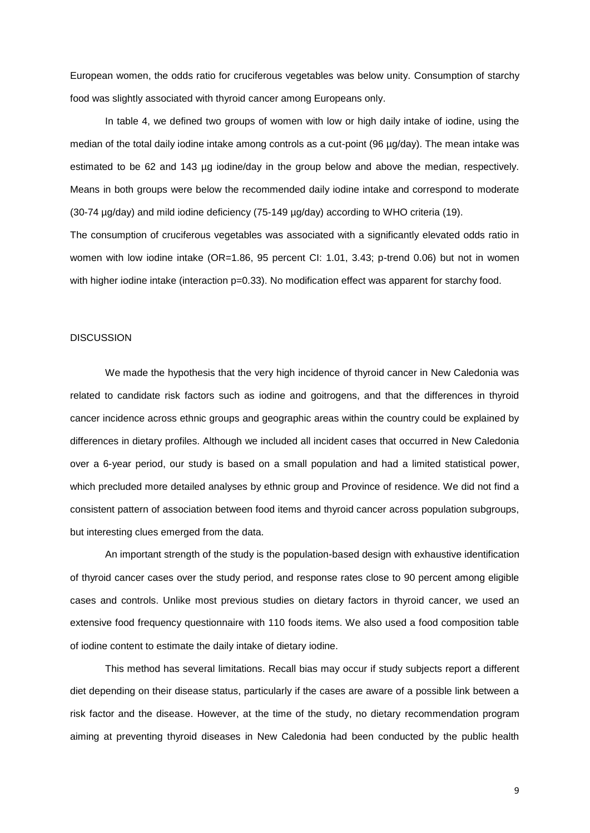European women, the odds ratio for cruciferous vegetables was below unity. Consumption of starchy food was slightly associated with thyroid cancer among Europeans only.

In table 4, we defined two groups of women with low or high daily intake of iodine, using the median of the total daily iodine intake among controls as a cut-point (96 µg/day). The mean intake was estimated to be 62 and 143 µg iodine/day in the group below and above the median, respectively. Means in both groups were below the recommended daily iodine intake and correspond to moderate (30-74 µg/day) and mild iodine deficiency (75-149 µg/day) according to WHO criteria (19).

The consumption of cruciferous vegetables was associated with a significantly elevated odds ratio in women with low iodine intake (OR=1.86, 95 percent CI: 1.01, 3.43; p-trend 0.06) but not in women with higher iodine intake (interaction  $p=0.33$ ). No modification effect was apparent for starchy food.

#### **DISCUSSION**

We made the hypothesis that the very high incidence of thyroid cancer in New Caledonia was related to candidate risk factors such as iodine and goitrogens, and that the differences in thyroid cancer incidence across ethnic groups and geographic areas within the country could be explained by differences in dietary profiles. Although we included all incident cases that occurred in New Caledonia over a 6-year period, our study is based on a small population and had a limited statistical power, which precluded more detailed analyses by ethnic group and Province of residence. We did not find a consistent pattern of association between food items and thyroid cancer across population subgroups, but interesting clues emerged from the data.

An important strength of the study is the population-based design with exhaustive identification of thyroid cancer cases over the study period, and response rates close to 90 percent among eligible cases and controls. Unlike most previous studies on dietary factors in thyroid cancer, we used an extensive food frequency questionnaire with 110 foods items. We also used a food composition table of iodine content to estimate the daily intake of dietary iodine.

This method has several limitations. Recall bias may occur if study subjects report a different diet depending on their disease status, particularly if the cases are aware of a possible link between a risk factor and the disease. However, at the time of the study, no dietary recommendation program aiming at preventing thyroid diseases in New Caledonia had been conducted by the public health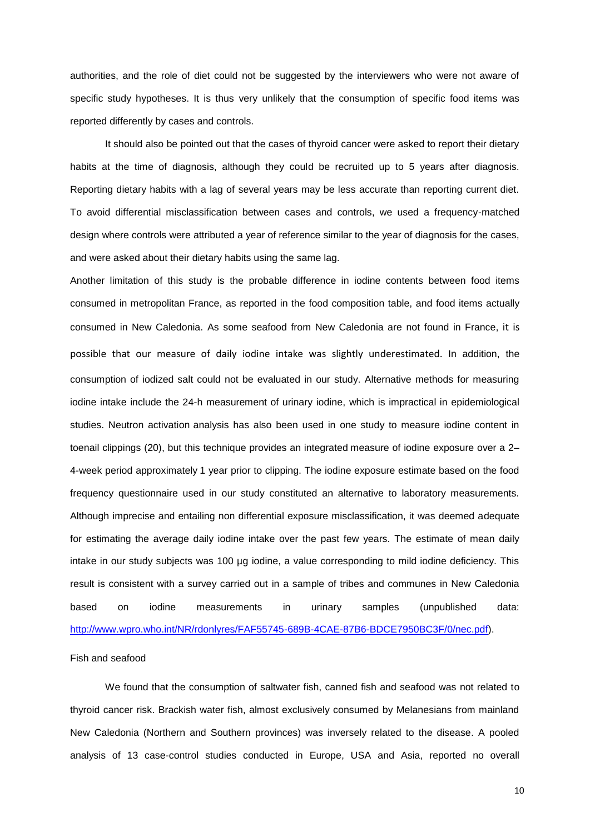authorities, and the role of diet could not be suggested by the interviewers who were not aware of specific study hypotheses. It is thus very unlikely that the consumption of specific food items was reported differently by cases and controls.

It should also be pointed out that the cases of thyroid cancer were asked to report their dietary habits at the time of diagnosis, although they could be recruited up to 5 years after diagnosis. Reporting dietary habits with a lag of several years may be less accurate than reporting current diet. To avoid differential misclassification between cases and controls, we used a frequency-matched design where controls were attributed a year of reference similar to the year of diagnosis for the cases, and were asked about their dietary habits using the same lag.

Another limitation of this study is the probable difference in iodine contents between food items consumed in metropolitan France, as reported in the food composition table, and food items actually consumed in New Caledonia. As some seafood from New Caledonia are not found in France, it is possible that our measure of daily iodine intake was slightly underestimated. In addition, the consumption of iodized salt could not be evaluated in our study. Alternative methods for measuring iodine intake include the 24-h measurement of urinary iodine, which is impractical in epidemiological studies. Neutron activation analysis has also been used in one study to measure iodine content in toenail clippings (20), but this technique provides an integrated measure of iodine exposure over a 2– 4-week period approximately 1 year prior to clipping. The iodine exposure estimate based on the food frequency questionnaire used in our study constituted an alternative to laboratory measurements. Although imprecise and entailing non differential exposure misclassification, it was deemed adequate for estimating the average daily iodine intake over the past few years. The estimate of mean daily intake in our study subjects was 100 µg iodine, a value corresponding to mild iodine deficiency. This result is consistent with a survey carried out in a sample of tribes and communes in New Caledonia based on iodine measurements in urinary samples (unpublished data: [http://www.wpro.who.int/NR/rdonlyres/FAF55745-689B-4CAE-87B6-BDCE7950BC3F/0/nec.pdf\)](http://www.wpro.who.int/NR/rdonlyres/FAF55745-689B-4CAE-87B6-BDCE7950BC3F/0/nec.pdf).

#### Fish and seafood

We found that the consumption of saltwater fish, canned fish and seafood was not related to thyroid cancer risk. Brackish water fish, almost exclusively consumed by Melanesians from mainland New Caledonia (Northern and Southern provinces) was inversely related to the disease. A pooled analysis of 13 case-control studies conducted in Europe, USA and Asia, reported no overall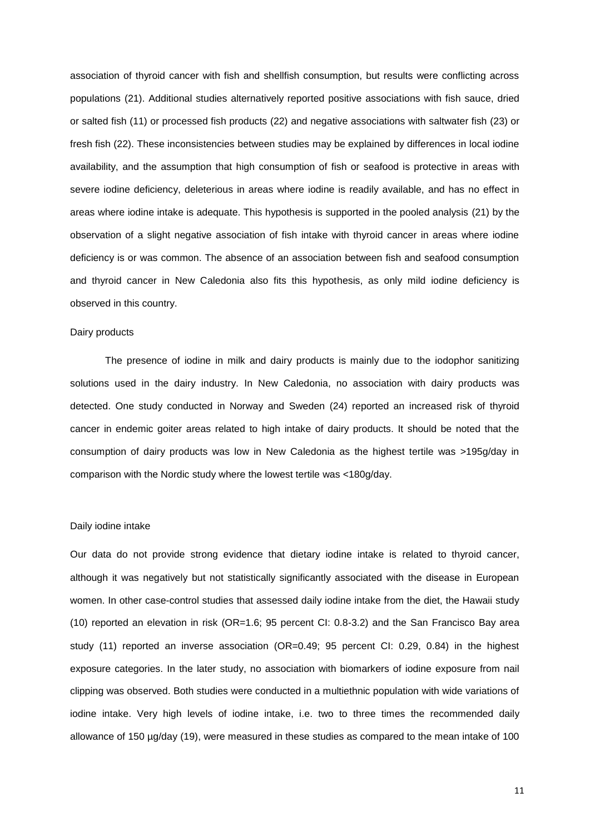association of thyroid cancer with fish and shellfish consumption, but results were conflicting across populations (21). Additional studies alternatively reported positive associations with fish sauce, dried or salted fish (11) or processed fish products (22) and negative associations with saltwater fish (23) or fresh fish (22). These inconsistencies between studies may be explained by differences in local iodine availability, and the assumption that high consumption of fish or seafood is protective in areas with severe iodine deficiency, deleterious in areas where iodine is readily available, and has no effect in areas where iodine intake is adequate. This hypothesis is supported in the pooled analysis (21) by the observation of a slight negative association of fish intake with thyroid cancer in areas where iodine deficiency is or was common. The absence of an association between fish and seafood consumption and thyroid cancer in New Caledonia also fits this hypothesis, as only mild iodine deficiency is observed in this country.

#### Dairy products

The presence of iodine in milk and dairy products is mainly due to the iodophor sanitizing solutions used in the dairy industry. In New Caledonia, no association with dairy products was detected. One study conducted in Norway and Sweden (24) reported an increased risk of thyroid cancer in endemic goiter areas related to high intake of dairy products. It should be noted that the consumption of dairy products was low in New Caledonia as the highest tertile was >195g/day in comparison with the Nordic study where the lowest tertile was <180g/day.

#### Daily iodine intake

Our data do not provide strong evidence that dietary iodine intake is related to thyroid cancer, although it was negatively but not statistically significantly associated with the disease in European women. In other case-control studies that assessed daily iodine intake from the diet, the Hawaii study (10) reported an elevation in risk (OR=1.6; 95 percent CI: 0.8-3.2) and the San Francisco Bay area study (11) reported an inverse association (OR=0.49; 95 percent CI: 0.29, 0.84) in the highest exposure categories. In the later study, no association with biomarkers of iodine exposure from nail clipping was observed. Both studies were conducted in a multiethnic population with wide variations of iodine intake. Very high levels of iodine intake, i.e. two to three times the recommended daily allowance of 150 µg/day (19), were measured in these studies as compared to the mean intake of 100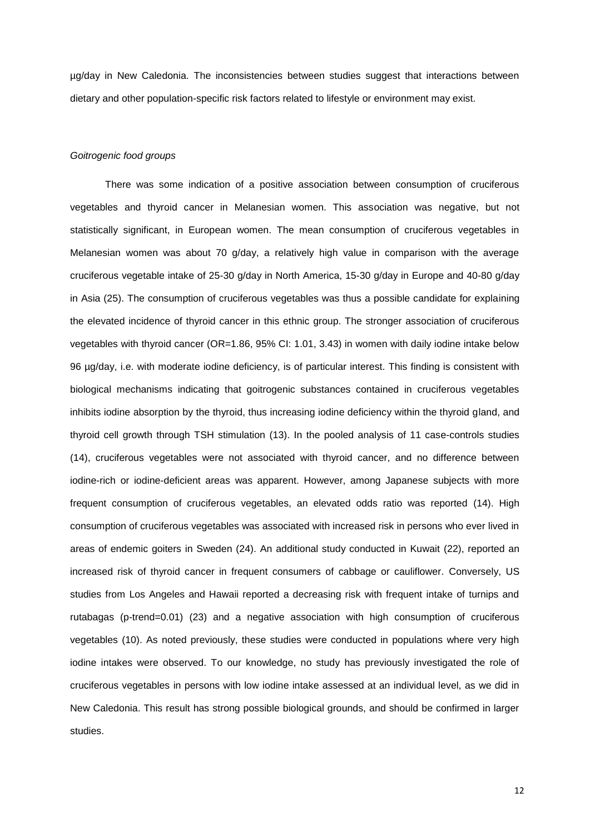µg/day in New Caledonia. The inconsistencies between studies suggest that interactions between dietary and other population-specific risk factors related to lifestyle or environment may exist.

#### *Goitrogenic food groups*

There was some indication of a positive association between consumption of cruciferous vegetables and thyroid cancer in Melanesian women. This association was negative, but not statistically significant, in European women. The mean consumption of cruciferous vegetables in Melanesian women was about 70 g/day, a relatively high value in comparison with the average cruciferous vegetable intake of 25-30 g/day in North America, 15-30 g/day in Europe and 40-80 g/day in Asia (25). The consumption of cruciferous vegetables was thus a possible candidate for explaining the elevated incidence of thyroid cancer in this ethnic group. The stronger association of cruciferous vegetables with thyroid cancer (OR=1.86, 95% CI: 1.01, 3.43) in women with daily iodine intake below 96 µg/day, i.e. with moderate iodine deficiency, is of particular interest. This finding is consistent with biological mechanisms indicating that goitrogenic substances contained in cruciferous vegetables inhibits iodine absorption by the thyroid, thus increasing iodine deficiency within the thyroid gland, and thyroid cell growth through TSH stimulation (13). In the pooled analysis of 11 case-controls studies (14), cruciferous vegetables were not associated with thyroid cancer, and no difference between iodine-rich or iodine-deficient areas was apparent. However, among Japanese subjects with more frequent consumption of cruciferous vegetables, an elevated odds ratio was reported (14). High consumption of cruciferous vegetables was associated with increased risk in persons who ever lived in areas of endemic goiters in Sweden (24). An additional study conducted in Kuwait (22), reported an increased risk of thyroid cancer in frequent consumers of cabbage or cauliflower. Conversely, US studies from Los Angeles and Hawaii reported a decreasing risk with frequent intake of turnips and rutabagas (p-trend=0.01) (23) and a negative association with high consumption of cruciferous vegetables (10). As noted previously, these studies were conducted in populations where very high iodine intakes were observed. To our knowledge, no study has previously investigated the role of cruciferous vegetables in persons with low iodine intake assessed at an individual level, as we did in New Caledonia. This result has strong possible biological grounds, and should be confirmed in larger studies.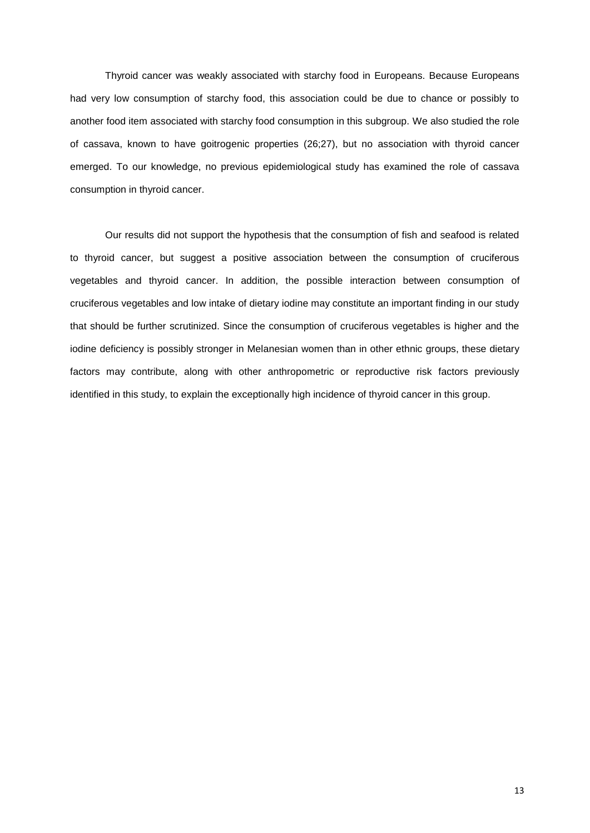Thyroid cancer was weakly associated with starchy food in Europeans. Because Europeans had very low consumption of starchy food, this association could be due to chance or possibly to another food item associated with starchy food consumption in this subgroup. We also studied the role of cassava, known to have goitrogenic properties (26;27), but no association with thyroid cancer emerged. To our knowledge, no previous epidemiological study has examined the role of cassava consumption in thyroid cancer.

Our results did not support the hypothesis that the consumption of fish and seafood is related to thyroid cancer, but suggest a positive association between the consumption of cruciferous vegetables and thyroid cancer. In addition, the possible interaction between consumption of cruciferous vegetables and low intake of dietary iodine may constitute an important finding in our study that should be further scrutinized. Since the consumption of cruciferous vegetables is higher and the iodine deficiency is possibly stronger in Melanesian women than in other ethnic groups, these dietary factors may contribute, along with other anthropometric or reproductive risk factors previously identified in this study, to explain the exceptionally high incidence of thyroid cancer in this group.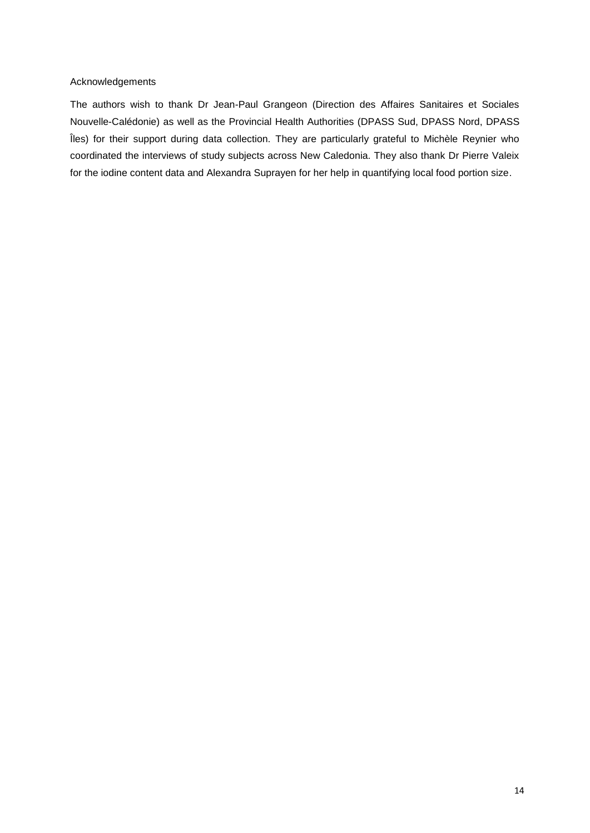#### Acknowledgements

The authors wish to thank Dr Jean-Paul Grangeon (Direction des Affaires Sanitaires et Sociales Nouvelle-Calédonie) as well as the Provincial Health Authorities (DPASS Sud, DPASS Nord, DPASS Îles) for their support during data collection. They are particularly grateful to Michèle Reynier who coordinated the interviews of study subjects across New Caledonia. They also thank Dr Pierre Valeix for the iodine content data and Alexandra Suprayen for her help in quantifying local food portion size.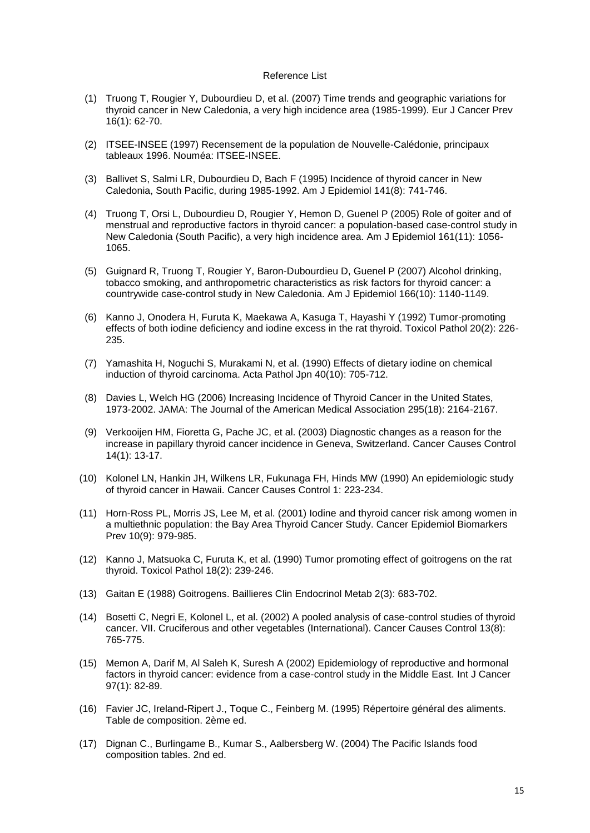#### Reference List

- (1) Truong T, Rougier Y, Dubourdieu D, et al. (2007) Time trends and geographic variations for thyroid cancer in New Caledonia, a very high incidence area (1985-1999). Eur J Cancer Prev 16(1): 62-70.
- (2) ITSEE-INSEE (1997) Recensement de la population de Nouvelle-Calédonie, principaux tableaux 1996. Nouméa: ITSEE-INSEE.
- (3) Ballivet S, Salmi LR, Dubourdieu D, Bach F (1995) Incidence of thyroid cancer in New Caledonia, South Pacific, during 1985-1992. Am J Epidemiol 141(8): 741-746.
- (4) Truong T, Orsi L, Dubourdieu D, Rougier Y, Hemon D, Guenel P (2005) Role of goiter and of menstrual and reproductive factors in thyroid cancer: a population-based case-control study in New Caledonia (South Pacific), a very high incidence area. Am J Epidemiol 161(11): 1056- 1065.
- (5) Guignard R, Truong T, Rougier Y, Baron-Dubourdieu D, Guenel P (2007) Alcohol drinking, tobacco smoking, and anthropometric characteristics as risk factors for thyroid cancer: a countrywide case-control study in New Caledonia. Am J Epidemiol 166(10): 1140-1149.
- (6) Kanno J, Onodera H, Furuta K, Maekawa A, Kasuga T, Hayashi Y (1992) Tumor-promoting effects of both iodine deficiency and iodine excess in the rat thyroid. Toxicol Pathol 20(2): 226- 235.
- (7) Yamashita H, Noguchi S, Murakami N, et al. (1990) Effects of dietary iodine on chemical induction of thyroid carcinoma. Acta Pathol Jpn 40(10): 705-712.
- (8) Davies L, Welch HG (2006) Increasing Incidence of Thyroid Cancer in the United States, 1973-2002. JAMA: The Journal of the American Medical Association 295(18): 2164-2167.
- (9) Verkooijen HM, Fioretta G, Pache JC, et al. (2003) Diagnostic changes as a reason for the increase in papillary thyroid cancer incidence in Geneva, Switzerland. Cancer Causes Control 14(1): 13-17.
- (10) Kolonel LN, Hankin JH, Wilkens LR, Fukunaga FH, Hinds MW (1990) An epidemiologic study of thyroid cancer in Hawaii. Cancer Causes Control 1: 223-234.
- (11) Horn-Ross PL, Morris JS, Lee M, et al. (2001) Iodine and thyroid cancer risk among women in a multiethnic population: the Bay Area Thyroid Cancer Study. Cancer Epidemiol Biomarkers Prev 10(9): 979-985.
- (12) Kanno J, Matsuoka C, Furuta K, et al. (1990) Tumor promoting effect of goitrogens on the rat thyroid. Toxicol Pathol 18(2): 239-246.
- (13) Gaitan E (1988) Goitrogens. Baillieres Clin Endocrinol Metab 2(3): 683-702.
- (14) Bosetti C, Negri E, Kolonel L, et al. (2002) A pooled analysis of case-control studies of thyroid cancer. VII. Cruciferous and other vegetables (International). Cancer Causes Control 13(8): 765-775.
- (15) Memon A, Darif M, Al Saleh K, Suresh A (2002) Epidemiology of reproductive and hormonal factors in thyroid cancer: evidence from a case-control study in the Middle East. Int J Cancer 97(1): 82-89.
- (16) Favier JC, Ireland-Ripert J., Toque C., Feinberg M. (1995) Répertoire général des aliments. Table de composition. 2ème ed.
- (17) Dignan C., Burlingame B., Kumar S., Aalbersberg W. (2004) The Pacific Islands food composition tables. 2nd ed.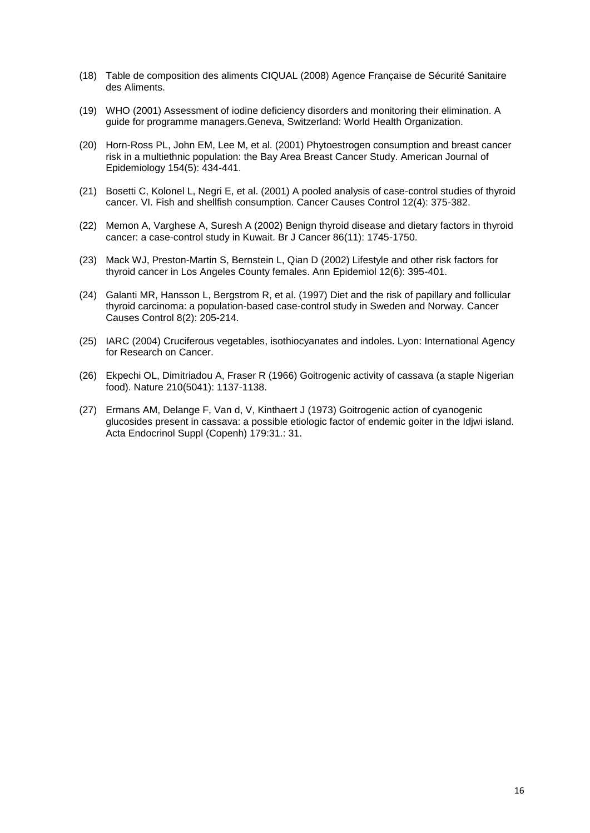- (18) Table de composition des aliments CIQUAL (2008) Agence Française de Sécurité Sanitaire des Aliments.
- (19) WHO (2001) Assessment of iodine deficiency disorders and monitoring their elimination. A guide for programme managers.Geneva, Switzerland: World Health Organization.
- (20) Horn-Ross PL, John EM, Lee M, et al. (2001) Phytoestrogen consumption and breast cancer risk in a multiethnic population: the Bay Area Breast Cancer Study. American Journal of Epidemiology 154(5): 434-441.
- (21) Bosetti C, Kolonel L, Negri E, et al. (2001) A pooled analysis of case-control studies of thyroid cancer. VI. Fish and shellfish consumption. Cancer Causes Control 12(4): 375-382.
- (22) Memon A, Varghese A, Suresh A (2002) Benign thyroid disease and dietary factors in thyroid cancer: a case-control study in Kuwait. Br J Cancer 86(11): 1745-1750.
- (23) Mack WJ, Preston-Martin S, Bernstein L, Qian D (2002) Lifestyle and other risk factors for thyroid cancer in Los Angeles County females. Ann Epidemiol 12(6): 395-401.
- (24) Galanti MR, Hansson L, Bergstrom R, et al. (1997) Diet and the risk of papillary and follicular thyroid carcinoma: a population-based case-control study in Sweden and Norway. Cancer Causes Control 8(2): 205-214.
- (25) IARC (2004) Cruciferous vegetables, isothiocyanates and indoles. Lyon: International Agency for Research on Cancer.
- (26) Ekpechi OL, Dimitriadou A, Fraser R (1966) Goitrogenic activity of cassava (a staple Nigerian food). Nature 210(5041): 1137-1138.
- (27) Ermans AM, Delange F, Van d, V, Kinthaert J (1973) Goitrogenic action of cyanogenic glucosides present in cassava: a possible etiologic factor of endemic goiter in the Idjwi island. Acta Endocrinol Suppl (Copenh) 179:31.: 31.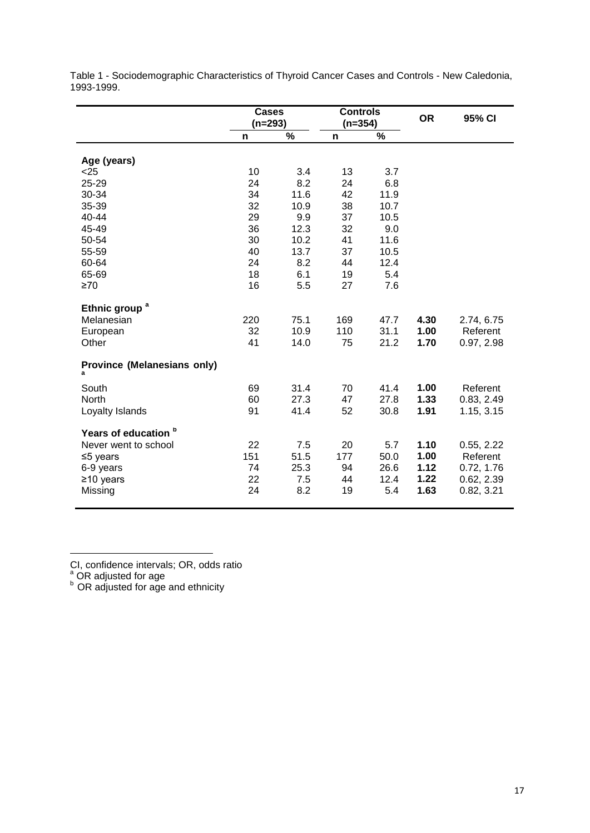|                             | <b>Cases</b><br>$(n=293)$ |      | <b>Controls</b><br>$(n=354)$ |      | <b>OR</b> | 95% CI     |
|-----------------------------|---------------------------|------|------------------------------|------|-----------|------------|
|                             | n                         | $\%$ | n                            | $\%$ |           |            |
| Age (years)                 |                           |      |                              |      |           |            |
| < 25                        | 10                        | 3.4  | 13                           | 3.7  |           |            |
| 25-29                       | 24                        | 8.2  | 24                           | 6.8  |           |            |
| 30-34                       | 34                        | 11.6 | 42                           | 11.9 |           |            |
| 35-39                       | 32                        | 10.9 | 38                           | 10.7 |           |            |
| 40-44                       | 29                        | 9.9  | 37                           | 10.5 |           |            |
| 45-49                       | 36                        | 12.3 | 32                           | 9.0  |           |            |
| 50-54                       | 30                        | 10.2 | 41                           | 11.6 |           |            |
| 55-59                       | 40                        | 13.7 | 37                           | 10.5 |           |            |
| 60-64                       | 24                        | 8.2  | 44                           | 12.4 |           |            |
| 65-69                       | 18                        | 6.1  | 19                           | 5.4  |           |            |
| $\geq 70$                   | 16                        | 5.5  | 27                           | 7.6  |           |            |
| Ethnic group <sup>a</sup>   |                           |      |                              |      |           |            |
| Melanesian                  | 220                       | 75.1 | 169                          | 47.7 | 4.30      | 2.74, 6.75 |
| European                    | 32                        | 10.9 | 110                          | 31.1 | 1.00      | Referent   |
| Other                       | 41                        | 14.0 | 75                           | 21.2 | 1.70      | 0.97, 2.98 |
| Province (Melanesians only) |                           |      |                              |      |           |            |
| South                       | 69                        | 31.4 | 70                           | 41.4 | 1.00      | Referent   |
| North                       | 60                        | 27.3 | 47                           | 27.8 | 1.33      | 0.83, 2.49 |
| Loyalty Islands             | 91                        | 41.4 | 52                           | 30.8 | 1.91      | 1.15, 3.15 |
| Years of education b        |                           |      |                              |      |           |            |
| Never went to school        | 22                        | 7.5  | 20                           | 5.7  | 1.10      | 0.55, 2.22 |
| $\leq$ 5 years              | 151                       | 51.5 | 177                          | 50.0 | 1.00      | Referent   |
| 6-9 years                   | 74                        | 25.3 | 94                           | 26.6 | 1.12      | 0.72, 1.76 |
| $\geq$ 10 years             | 22                        | 7.5  | 44                           | 12.4 | 1.22      | 0.62, 2.39 |
| Missing                     | 24                        | 8.2  | 19                           | 5.4  | 1.63      | 0.82, 3.21 |
|                             |                           |      |                              |      |           |            |

Table 1 - Sociodemographic Characteristics of Thyroid Cancer Cases and Controls - New Caledonia, 1993-1999.

CI, confidence intervals; OR, odds ratio

<sup>a</sup> OR adjusted for age

1

 $b$  OR adjusted for age and ethnicity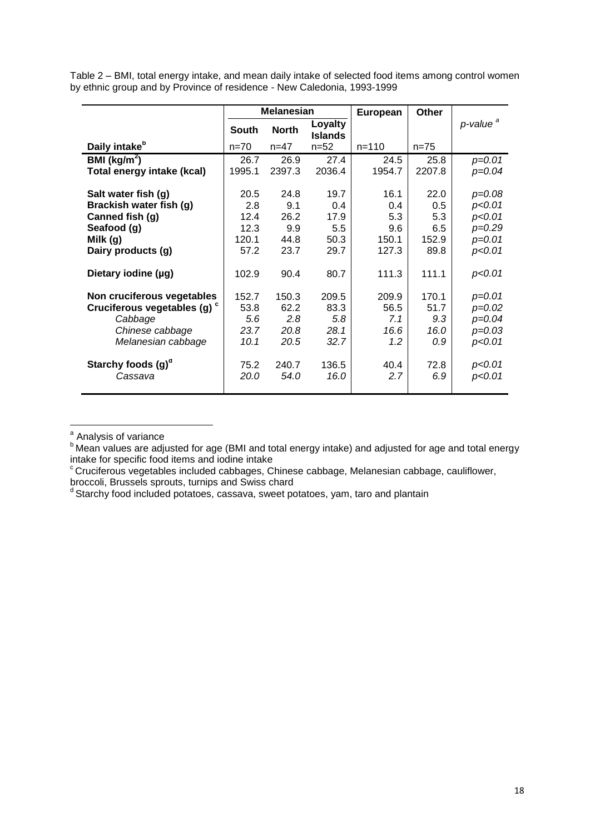Table 2 – BMI, total energy intake, and mean daily intake of selected food items among control women by ethnic group and by Province of residence - New Caledonia, 1993-1999

|                                |              | <b>Melanesian</b> |                           | European      | Other    |                      |
|--------------------------------|--------------|-------------------|---------------------------|---------------|----------|----------------------|
|                                | <b>South</b> | <b>North</b>      | Loyalty<br><b>Islands</b> |               |          | p-value <sup>a</sup> |
| Daily intake <sup>b</sup>      | $n = 70$     | $n=47$            | $n = 52$                  | $n = 110$     | $n = 75$ |                      |
| BMI ( $\text{kg/m}^2$ )        | 26.7         | 26.9              | 27.4                      | 24.5          | 25.8     | $p=0.01$             |
| Total energy intake (kcal)     | 1995.1       | 2397.3            | 2036.4                    | 1954.7        | 2207.8   | $p=0.04$             |
|                                |              |                   |                           |               |          |                      |
| Salt water fish (g)            | 20.5         | 24.8              | 19.7                      | 16.1          | 22.0     | $p=0.08$             |
| Brackish water fish (g)        | 2.8          | 9.1               | 0.4                       | 0.4           | 0.5      | p<0.01               |
| Canned fish (g)                | 12.4         | 26.2              | 17.9                      | 5.3           | 5.3      | p<0.01               |
| Seafood (g)                    | 12.3         | 9.9               | 5.5                       | 9.6           | 6.5      | $p = 0.29$           |
| Milk $(g)$                     | 120.1        | 44.8              | 50.3                      | 150.1         | 152.9    | $p=0.01$             |
| Dairy products (g)             | 57.2         | 23.7              | 29.7                      | 127.3         | 89.8     | p<0.01               |
|                                |              |                   |                           |               |          |                      |
| Dietary iodine (µg)            | 102.9        | 90.4              | 80.7                      | 111.3         | 111.1    | p<0.01               |
| Non cruciferous vegetables     | 152.7        | 150.3             | 209.5                     | 209.9         | 170.1    | p=0.01               |
| Cruciferous vegetables (g) c   | 53.8         | 62.2              | 83.3                      | 56.5          | 51.7     | $p=0.02$             |
| Cabbage                        | 5.6          | 2.8               | 5.8                       | 7.1           | 9.3      | $p=0.04$             |
| Chinese cabbage                | 23.7         | 20.8              | 28.1                      | 16.6          | 16.0     | $p=0.03$             |
| Melanesian cabbage             | 10.1         | 20.5              | 32.7                      | $1.2^{\circ}$ | 0.9      | p<0.01               |
|                                |              |                   |                           |               |          |                      |
| Starchy foods (g) <sup>a</sup> | 75.2         | 240.7             | 136.5                     | 40.4          | 72.8     | p<0.01               |
| Cassava                        | <b>20.0</b>  | 54.0              | 16.0                      | 2.7           | 6.9      | p<0.01               |
|                                |              |                   |                           |               |          |                      |

a Analysis of variance

- <sup>c</sup> Cruciferous vegetables included cabbages, Chinese cabbage, Melanesian cabbage, cauliflower,
- 
- broccoli, Brussels sprouts, turnips and Swiss chard<br><sup>d</sup> Starchy food included potatoes, cassava, sweet potatoes, yam, taro and plantain

<sup>b</sup> Mean values are adjusted for age (BMI and total energy intake) and adjusted for age and total energy intake for specific food items and iodine intake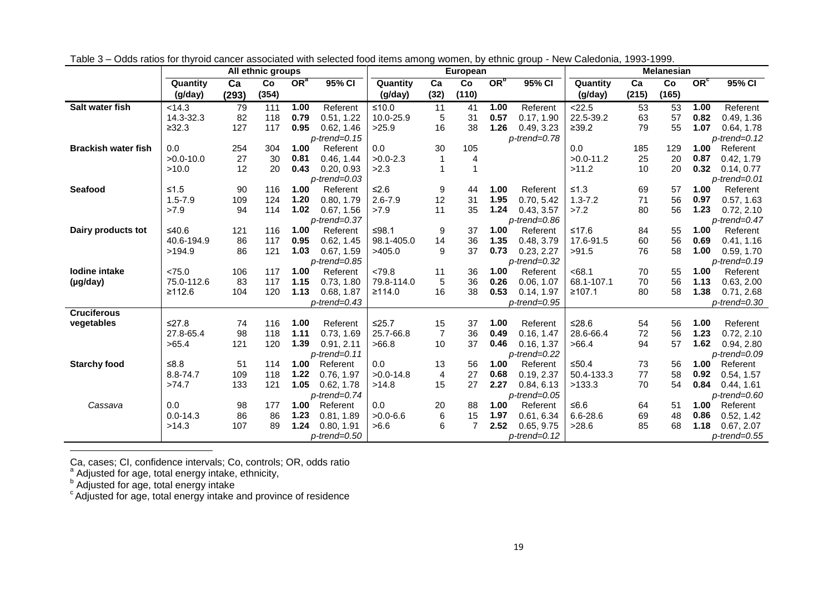|                            | All ethnic groups |       |       |                 | European        |               |                |                | Melanesian      |                 |               |       |       |                 |                 |
|----------------------------|-------------------|-------|-------|-----------------|-----------------|---------------|----------------|----------------|-----------------|-----------------|---------------|-------|-------|-----------------|-----------------|
|                            | Quantity          | Ca    | Co    | OR <sup>a</sup> | 95% CI          | Quantity      | Ca             | Co             | OR <sup>b</sup> | 95% CI          | Quantity      | Ca    | Co    | OR <sup>c</sup> | 95% CI          |
|                            | (g/day)           | (293) | (354) |                 |                 | (g/day)       | (32)           | (110)          |                 |                 | (g/day)       | (215) | (165) |                 |                 |
| Salt water fish            | < 14.3            | 79    | 111   | 1.00            | Referent        | $≤10.0$       | 11             | 41             | 1.00            | Referent        | 22.5          | 53    | 53    | 1.00            | Referent        |
|                            | 14.3-32.3         | 82    | 118   | 0.79            | 0.51, 1.22      | 10.0-25.9     | 5              | 31             | 0.57            | 0.17, 1.90      | 22.5-39.2     | 63    | 57    | 0.82            | 0.49, 1.36      |
|                            | ≥32.3             | 127   | 117   | 0.95            | 0.62, 1.46      | >25.9         | 16             | 38             | 1.26            | 0.49, 3.23      | ≥39.2         | 79    | 55    | 1.07            | 0.64, 1.78      |
|                            |                   |       |       |                 | $p$ -trend=0.15 |               |                |                | $p$ -trend=0.78 |                 |               |       |       | $p$ -trend=0.12 |                 |
| <b>Brackish water fish</b> | 0.0               | 254   | 304   | 1.00            | Referent        | 0.0           | 30             | 105            |                 |                 | 0.0           | 185   | 129   | 1.00            | Referent        |
|                            | $>0.0 - 10.0$     | 27    | 30    | 0.81            | 0.46, 1.44      | $>0.0 - 2.3$  | 1              | 4              |                 |                 | $>0.0 - 11.2$ | 25    | 20    | 0.87            | 0.42, 1.79      |
|                            | >10.0             | 12    | 20    | 0.43            | 0.20, 0.93      | >2.3          | 1              | 1              |                 |                 | >11.2         | 10    | 20    | 0.32            | 0.14, 0.77      |
|                            |                   |       |       |                 | $p$ -trend=0.03 |               |                |                |                 |                 |               |       |       |                 | $p$ -trend=0.01 |
| Seafood                    | $≤1.5$            | 90    | 116   | 1.00            | Referent        | $≤2.6$        | 9              | 44             | 1.00            | Referent        | $≤1.3$        | 69    | 57    | 1.00            | Referent        |
|                            | $1.5 - 7.9$       | 109   | 124   | 1.20            | 0.80, 1.79      | $2.6 - 7.9$   | 12             | 31             | 1.95            | 0.70, 5.42      | $1.3 - 7.2$   | 71    | 56    | 0.97            | 0.57, 1.63      |
|                            | >7.9              | 94    | 114   | 1.02            | 0.67, 1.56      | >7.9          | 11             | 35             | 1.24            | 0.43, 3.57      | >7.2          | 80    | 56    | 1.23            | 0.72, 2.10      |
|                            |                   |       |       |                 | $p$ -trend=0.37 |               |                |                | $p$ -trend=0.86 |                 |               |       |       |                 | $p$ -trend=0.47 |
| Dairy products tot         | ≤40.6             | 121   | 116   | 1.00            | Referent        | ≤98.1         | 9              | 37             | 1.00            | Referent        | $≤17.6$       | 84    | 55    | 1.00            | Referent        |
|                            | 40.6-194.9        | 86    | 117   | 0.95            | 0.62, 1.45      | 98.1-405.0    | 14             | 36             | 1.35            | 0.48, 3.79      | 17.6-91.5     | 60    | 56    | 0.69            | 0.41, 1.16      |
|                            | >194.9            | 86    | 121   | 1.03            | 0.67, 1.59      | >405.0        | 9              | 37             | 0.73            | 0.23, 2.27      | >91.5         | 76    | 58    | 1.00            | 0.59, 1.70      |
|                            |                   |       |       | $p$ -trend=0.85 |                 |               |                |                | $p$ -trend=0.32 |                 |               |       |       |                 | $p$ -trend=0.19 |
| lodine intake              | <75.0             | 106   | 117   | 1.00            | Referent        | <79.8         | 11             | 36             | 1.00            | Referent        | < 68.1        | 70    | 55    | 1.00            | Referent        |
| (µg/day)                   | 75.0-112.6        | 83    | 117   | 1.15            | 0.73, 1.80      | 79.8-114.0    | 5              | 36             | 0.26            | 0.06, 1.07      | 68.1-107.1    | 70    | 56    | 1.13            | 0.63, 2.00      |
|                            | ≥112.6            | 104   | 120   | 1.13            | 0.68, 1.87      | ≥114.0        | 16             | 38             | 0.53            | 0.14, 1.97      | ≥107.1        | 80    | 58    | 1.38            | 0.71, 2.68      |
| <b>Cruciferous</b>         |                   |       |       |                 | $p$ -trend=0.43 |               |                |                |                 | $p$ -trend=0.95 |               |       |       |                 | $p$ -trend=0.30 |
| vegetables                 | $≤27.8$           | 74    | 116   | 1.00            | Referent        | ≤25.7         | 15             | 37             | 1.00            | Referent        | $≤28.6$       | 54    | 56    | 1.00            | Referent        |
|                            | 27.8-65.4         | 98    | 118   | 1.11            | 0.73, 1.69      | 25.7-66.8     | $\overline{7}$ | 36             | 0.49            | 0.16, 1.47      | 28.6-66.4     | 72    | 56    | 1.23            | 0.72, 2.10      |
|                            | >65.4             | 121   | 120   | 1.39            | 0.91, 2.11      | >66.8         | 10             | 37             | 0.46            | 0.16.137        | >66.4         | 94    | 57    | 1.62            | 0.94, 2.80      |
|                            |                   |       |       |                 | $p$ -trend=0.11 |               |                |                |                 | $p$ -trend=0.22 |               |       |       |                 | p-trend=0.09    |
| <b>Starchy food</b>        | $≤8.8$            | 51    | 114   | 1.00            | Referent        | 0.0           | 13             | 56             | 1.00            | Referent        | $≤50.4$       | 73    | 56    | 1.00            | Referent        |
|                            | 8.8-74.7          | 109   | 118   | 1.22            | 0.76, 1.97      | $>0.0 - 14.8$ | 4              | 27             | 0.68            | 0.19, 2.37      | 50.4-133.3    | 77    | 58    | 0.92            | 0.54, 1.57      |
|                            | >74.7             | 133   | 121   | 1.05            | 0.62, 1.78      | >14.8         | 15             | 27             | 2.27            | 0.84, 6.13      | >133.3        | 70    | 54    | 0.84            | 0.44, 1.61      |
|                            |                   |       |       |                 | $p$ -trend=0.74 |               |                |                |                 | $p$ -trend=0.05 |               |       |       |                 | p-trend=0.60    |
| Cassava                    | 0.0               | 98    | 177   | 1.00            | Referent        | 0.0           | 20             | 88             | 1.00            | Referent        | $≤6.6$        | 64    | 51    | 1.00            | Referent        |
|                            | $0.0 - 14.3$      | 86    | 86    | 1.23            | 0.81, 1.89      | $>0.0 - 6.6$  | 6              | 15             | 1.97            | 0.61, 6.34      | 6.6-28.6      | 69    | 48    | 0.86            | 0.52, 1.42      |
|                            | >14.3             | 107   | 89    | 1.24            | 0.80, 1.91      | >6.6          | 6              | $\overline{7}$ | 2.52            | 0.65, 9.75      | >28.6         | 85    | 68    | 1.18            | 0.67, 2.07      |
|                            |                   |       |       |                 | $p$ -trend=0.50 |               |                |                |                 | $p$ -trend=0.12 |               |       |       |                 | $p$ -trend=0.55 |

Table 3 – Odds ratios for thyroid cancer associated with selected food items among women, by ethnic group - New Caledonia, 1993-1999.

 $\overline{a}$ 

Ca, cases; CI, confidence intervals; Co, controls; OR, odds ratio<br><sup>a</sup> Adjusted for age, total energy intake, ethnicity,<br><sup>b</sup> Adjusted for age, total energy intake<br><sup>c</sup> Adjusted for age, total energy intake and province of re